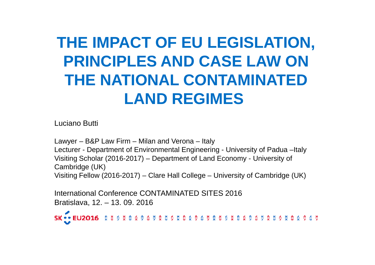# **THE IMPACT OF EU LEGISLATION, PRINCIPLES AND CASE LAW ON THE NATIONAL CONTAMINATED LAND REGIMES**

Luciano Butti

Lawyer – B&P Law Firm – Milan and Verona – Italy Lecturer - Department of Environmental Engineering - University of Padua –ItalyVisiting Scholar (2016-2017) – Department of Land Economy - University of Cambridge (UK)Visiting Fellow (2016-2017) – Clare Hall College – University of Cambridge (UK)

International Conference CONTAMINATED SITES 2016Bratislava, 12. – 13. 09. 2016

SK ... EU2016 335 X 3 X 3 6 5 2 3 5 5 X 3 8 9 6 5 2 3 5 5 8 9 6 7 2 5 5 2 5 5 8 9 6 5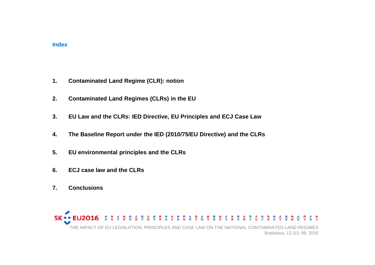#### **Index**

- **1. Contaminated Land Regime (CLR): notion**
- **2. Contaminated Land Regimes (CLRs) in the EU**
- 3. EU Law and the CLRs: IED Directive, EU Principles and ECJ Case Law
- **4.The Baseline Report under the IED (2010/75/EU Directive) and the CLRs**
- **5. EU environmental principles and the CLRs**
- **6. ECJ case law and the CLRs**
- **7. Conclusions**

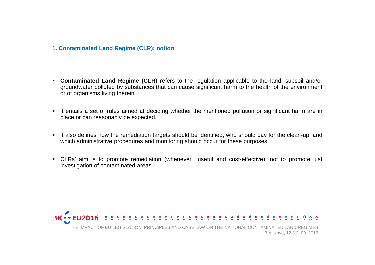#### **1. Contaminated Land Regime (CLR): notion**

- **Contaminated Land Regime (CLR)** refers to the regulation applicable to the land, subsoil and/or groundwater polluted by substances that can cause significant harm to the health of the environment or of organisms living therein.
- It entails <sup>a</sup> set of rules aimed at deciding whether the mentioned pollution or significant harm are inplace or can reasonably be expected.
- It also defines how the remediation targets should be identified, who should pay for the clean-up, and<br>which administrative presedures and menitorias should essur for these purpases which administrative procedures and monitoring should occur for these purposes.
- CLRs' aim is to promote remediation (whenever useful and cost-effective), not to promote just investigation of contaminated areas

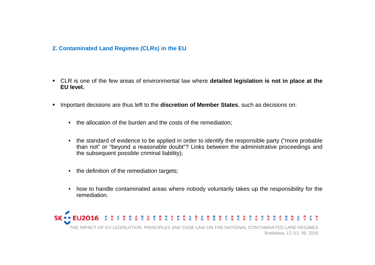## **2. Contaminated Land Regimes (CLRs) in the EU**

- CLR is one of the few areas of environmental law where **detailed legislation is not in place at the EU level.**
- $\blacksquare$ ■ Important decisions are thus left to the **discretion of Member States**, such as decisions on:
	- the allocation of the burden and the costs of the remediation;
	- the standard of evidence to be applied in order to identify the responsible party ("more probable than not" or "beyond <sup>a</sup> reasonable doubt"? Links between the administrative proceedings andthe subsequent possible criminal liability);
	- the definition of the remediation targets;
	- $\bullet$  how to handle contaminated areas where nobody voluntarily takes up the responsibility for theremediation.

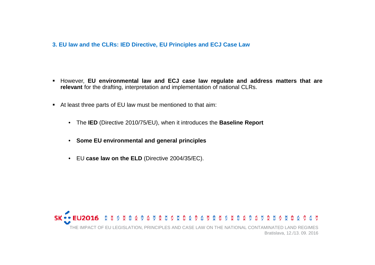## **3. EU law and the CLRs: IED Directive, EU Principles and ECJ Case Law**

- However, EU environmental law and ECJ case law regulate and address matters that are **relevant** for the drafting, interpretation and implementation of national CLRs.
- At least three parts of EU law must be mentioned to that aim:
	- The **IED** (Directive 2010/75/EU), when it introduces the **Baseline Report**
	- **Some EU environmental and general principles**
	- EU **case law on the ELD** (Directive 2004/35/EC).

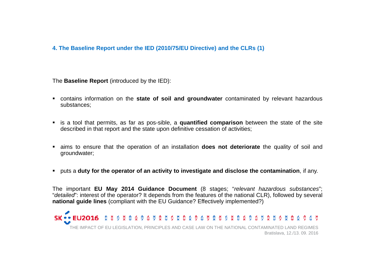# **4. The Baseline Report under the IED (2010/75/EU Directive) and the CLRs (1)**

The **Baseline Report** (introduced by the IED):

- **•** contains information on the state of soil and groundwater contaminated by relevant hazardous substances;
- is <sup>a</sup> tool that permits, as far as pos-sible, <sup>a</sup> **quantified comparison** between the state of the site described in that report and the state upon definitive cessation of activities;
- aims to ensure that the operation of an installation **does not deteriorate** the quality of soil and groundwater;
- puts a duty for the operator of an activity to investigate and disclose the contamination, if any.

The important **EU May 2014 Guidance Document** (8 stages; "relevant hazardous substances"; "detailed": interest of the operator? It depends from the features of the national CLR), followed by several **national guide lines** (compliant with the EU Guidance? Effectively implemented?)

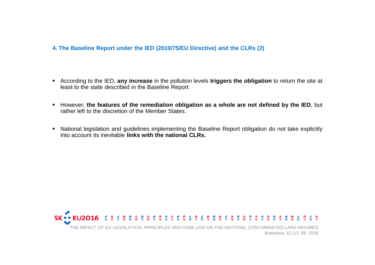## **4. The Baseline Report under the IED (2010/75/EU Directive) and the CLRs (2)**

- According to the IED, **any increase** in the pollution levels **triggers the obligation** to return the site at least to the state described in the Baseline Report.
- However, the features of the remediation obligation as a whole are not defined by the IED, but rather left to the discretion of the Member States.
- $\blacksquare$  National legislation and guidelines implementing the Baseline Report obligation do not take explicitlyinto account its inevitable **links with the national CLRs.**

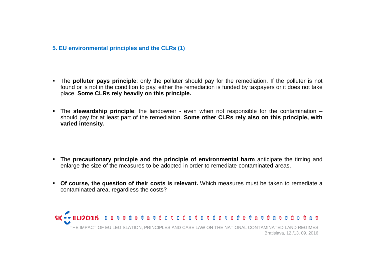## **5. EU environmental principles and the CLRs (1)**

- The **polluter pays principle**: only the polluter should pay for the remediation. If the polluter is not found or is not in the condition to pay, either the remediation is funded by taxpayers or it does not take place. **Some CLRs rely heavily on this principle.**
- **The stewardship principle**: the landowner even when not responsible for the contamination should pay for at least part of the remediation. **Some other CLRs rely also on this principle, withvaried intensity.**

- The **precautionary principle and the principle of environmental harm** anticipate the timing and enlarge the size of the measures to be adopted in order to remediate contaminated areas.
- **Of course, the question of their costs is relevant.** Which measures must be taken to remediate <sup>a</sup>contaminated area, regardless the costs?

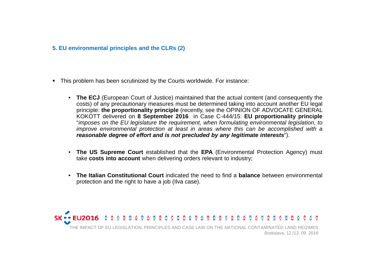## **5. EU environmental principles and the CLRs (2)**

- This problem has been scrutinized by the Courts worldwide. For instance:
	- **The ECJ** (European Court of Justice) maintained that the actual content (and consequently the costs) of any precautionary measures must be determined taking into account another EU legal principle: **the proportionality principle** (recently, see the OPINION OF ADVOCATE GENERAL KOKOTT delivered on **<sup>8</sup> September <sup>2016</sup>** in Case C-444/15: **EU proportionality principle** "imposes on the EU legislature the requirement, when formulating environmental legislation, to improve environmental protection at least in areas where this can be accomplished with <sup>a</sup> **reasonable degree of effort and is not precluded by any legitimate interests**").
	- **The US Supreme Court** established that the **EPA** (Environmental Protection Agency) must take **costs into account** when delivering orders relevant to industry;
	- •**• The Italian Constitutional Court** indicated the need to find a **balance** between environmental protection and the right to have <sup>a</sup> job (Ilva case).

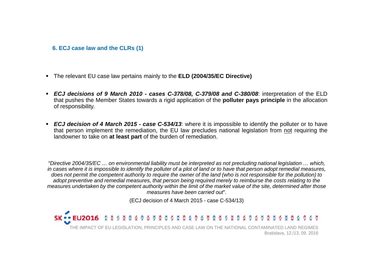#### **6. ECJ case law and the CLRs (1)**

- The relevant EU case law pertains mainly to the **ELD (2004/35/EC Directive)**
- ECJ decisions of 9 March 2010 cases C-378/08, C-379/08 and C-380/08: interpretation of the ELD that pushes the Member States towards <sup>a</sup> rigid application of the **polluter pays principle** in the allocation of responsibility.
- **ECJ decision of 4 March 2015 case C-534/13:** where it is impossible to identify the polluter or to have that person implement the remediation, the EU law precludes national legislation from <u>not</u> requiring the<br>landowner to take on **at least part** of the burden of remediation landowner to take on **at least part** of the burden of remediation.

"Directive 2004/35/EC … on environmental liability must be interpreted as not precluding national legislation … which, in cases where it is impossible to identify the polluter of a plot of land or to have that person adopt remedial measures, does not permit the competent authority to require the owner of the land (who is not responsible for the pollution) to adopt preventive and remedial measures, that person being required merely to reimburse the costs relating to the measures undertaken by the competent authority within the limit of the market value of the site, determined after those measures have been carried out".

(ECJ decision of 4 March 2015 - case C-534/13)

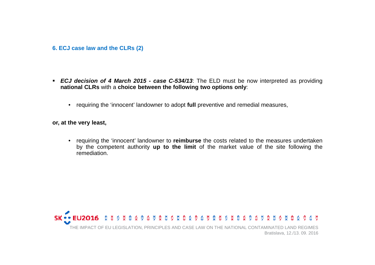#### **6. ECJ case law and the CLRs (2)**

- **ECJ decision of <sup>4</sup> March <sup>2015</sup> - case C-534/13**: The ELD must be now interpreted as providing**national CLRs** with <sup>a</sup> **choice between the following two options only**:
	- requiring the 'innocent' landowner to adopt **full** preventive and remedial measures,

**or, at the very least,**

• requiring the 'innocent' landowner to **reimburse** the costs related to the measures undertaken by the competent authority **up to the limit** of the market value of the site following theremediation.

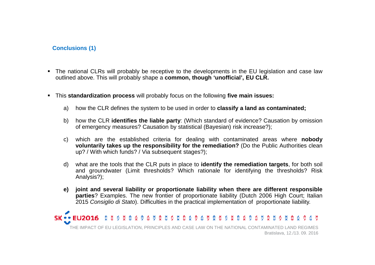# **Conclusions (1)**

- The national CLRs will probably be receptive to the developments in the EU legislation and case law outlined above. This will probably shape <sup>a</sup> **common, though 'unofficial', EU CLR.**
- This **standardization process** will probably focus on the following **five main issues:**
	- a) how the CLR defines the system to be used in order to **classify <sup>a</sup> land as contaminated;**
	- b) how the CLR **identifies the liable party**: (Which standard of evidence? Causation by omission of emergency measures? Causation by statistical (Bayesian) risk increase?);
	- c) which are the established criteria for dealing with contaminated areas where **nobody voluntarily takes up the responsibility for the remediation?** (Do the Public Authorities clean up? / With which funds? / Via subsequent stages?);
	- d) what are the tools that the CLR puts in place to **identify the remediation targets**, for both soil and groundwater (Limit thresholds? Which rationale for identifying the thresholds? RiskAnalysis?);
	- e) joint and several liability or proportionate liability when there are different responsible **parties**? Examples. The new frontier of proportionate liability (Dutch <sup>2006</sup> High Court; Italian 2015 Consiglio di Stato). Difficulties in the practical implementation of proportionate liability.

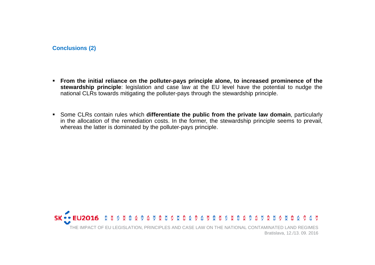**Conclusions (2)**

- From the initial reliance on the polluter-pays principle alone, to increased prominence of the **stewardship principle**: legislation and case law at the EU level have the potential to nudge thenational CLRs towards mitigating the polluter-pays through the stewardship principle.
- Some CLRs contain rules which **differentiate the public from the private law domain**, particularly in the allocation of the remediation costs. In the former, the stewardship principle seems to prevail, whereas the latter is dominated by the polluter-pays principle.

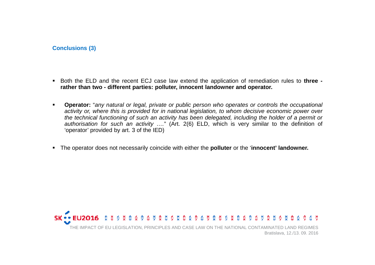**Conclusions (3)**

- Both the ELD and the recent ECJ case law extend the application of remediation rules to **three**  rather than two - different parties: polluter, innocent landowner and operator.
- $\blacksquare$  **Operator:** "any natural or legal, private or public person who operates or controls the occupational activity or, where this is provided for in national legislation, to whom decisive economic power over the technical functioning of such an activity has been delegated, including the holder of <sup>a</sup> permit or authorisation for such an activity …." (Art. 2(6) ELD, which is very similar to the definition of 'operator' provided by art. <sup>3</sup> of the IED)
- The operator does not necessarily coincide with either the **polluter** or the '**innocent' landowner.**